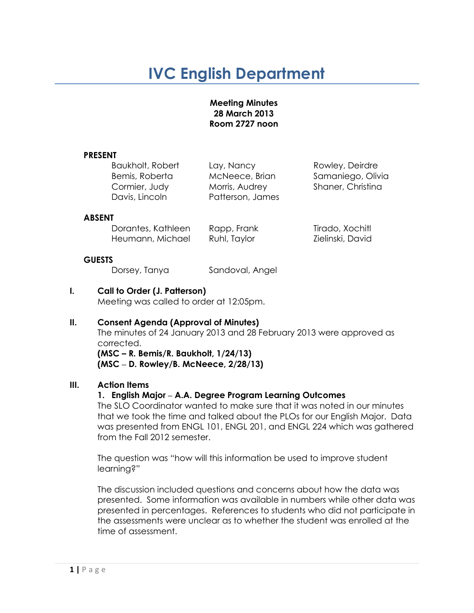# **IVC English Department**

#### **Meeting Minutes 28 March 2013 Room 2727 noon**

#### **PRESENT**

Baukholt, Robert Lay, Nancy Rowley, Deirdre Cormier, Judy Morris, Audrey Shaner, Christina Davis, Lincoln Patterson, James

Bemis, Roberta McNeece, Brian Samaniego, Olivia

#### **ABSENT**

Dorantes, Kathleen Rapp, Frank Tirado, Xochitl Heumann, Michael Ruhl, Taylor Zielinski, David

## **GUESTS**

Dorsey, Tanya Sandoval, Angel

# **I. Call to Order (J. Patterson)**

Meeting was called to order at 12:05pm.

# **II. Consent Agenda (Approval of Minutes)**

The minutes of 24 January 2013 and 28 February 2013 were approved as corrected. **(MSC – R. Bemis/R. Baukholt, 1/24/13)**

**(MSC ‒ D. Rowley/B. McNeece, 2/28/13)**

## **III. Action Items**

# **1. English Major ‒ A.A. Degree Program Learning Outcomes**

The SLO Coordinator wanted to make sure that it was noted in our minutes that we took the time and talked about the PLOs for our English Major. Data was presented from ENGL 101, ENGL 201, and ENGL 224 which was gathered from the Fall 2012 semester.

The question was "how will this information be used to improve student learning?"

The discussion included questions and concerns about how the data was presented. Some information was available in numbers while other data was presented in percentages. References to students who did not participate in the assessments were unclear as to whether the student was enrolled at the time of assessment.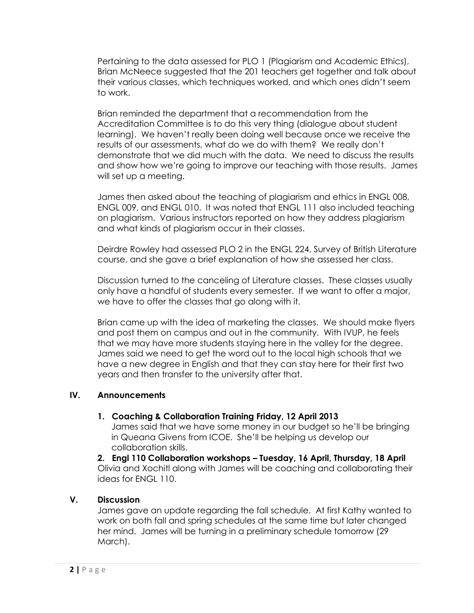Pertaining to the data assessed for PLO 1 (Plagiarism and Academic Ethics), Brian McNeece suggested that the 201 teachers get together and talk about their various classes, which techniques worked, and which ones didn't seem to work.

Brian reminded the department that a recommendation from the Accreditation Committee is to do this very thing (dialogue about student learning). We haven't really been doing well because once we receive the results of our assessments, what do we do with them? We really don't demonstrate that we did much with the data. We need to discuss the results and show how we're going to improve our teaching with those results. James will set up a meeting.

James then asked about the teaching of plagiarism and ethics in ENGL 008, ENGL 009, and ENGL 010. It was noted that ENGL 111 also included teaching on plagiarism. Various instructors reported on how they address plagiarism and what kinds of plagiarism occur in their classes.

Deirdre Rowley had assessed PLO 2 in the ENGL 224, Survey of British Literature course, and she gave a brief explanation of how she assessed her class.

Discussion turned to the canceling of Literature classes. These classes usually only have a handful of students every semester. If we want to offer a major, we have to offer the classes that go along with it.

Brian came up with the idea of marketing the classes. We should make flyers and post them on campus and out in the community. With IVUP, he feels that we may have more students staying here in the valley for the degree. James said we need to get the word out to the local high schools that we have a new degree in English and that they can stay here for their first two years and then transfer to the university after that.

## **IV. Announcements**

## **1. Coaching & Collaboration Training Friday, 12 April 2013**

James said that we have some money in our budget so he'll be bringing in Queana Givens from ICOE. She'll be helping us develop our collaboration skills.

**2. Engl 110 Collaboration workshops – Tuesday, 16 April, Thursday, 18 April** Olivia and Xochitl along with James will be coaching and collaborating their ideas for ENGL 110.

## **V. Discussion**

James gave an update regarding the fall schedule. At first Kathy wanted to work on both fall and spring schedules at the same time but later changed her mind. James will be turning in a preliminary schedule tomorrow (29 March).